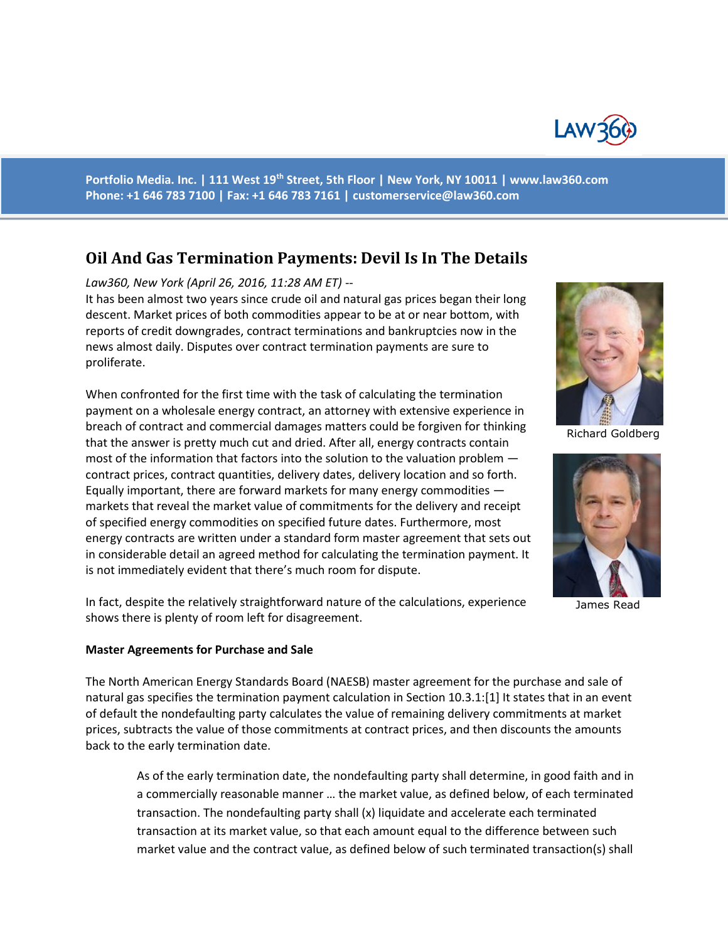

**Portfolio Media. Inc. | 111 West 19th Street, 5th Floor | New York, NY 10011 | www.law360.com Phone: +1 646 783 7100 | Fax: +1 646 783 7161 | [customerservice@law360.com](mailto:customerservice@law360.com)**

## **Oil And Gas Termination Payments: Devil Is In The Details**

*Law360, New York (April 26, 2016, 11:28 AM ET) --*

It has been almost two years since crude oil and natural gas prices began their long descent. Market prices of both commodities appear to be at or near bottom, with reports of credit downgrades, contract terminations and bankruptcies now in the news almost daily. Disputes over contract termination payments are sure to proliferate.

When confronted for the first time with the task of calculating the termination payment on a wholesale energy contract, an attorney with extensive experience in breach of contract and commercial damages matters could be forgiven for thinking that the answer is pretty much cut and dried. After all, energy contracts contain most of the information that factors into the solution to the valuation problem contract prices, contract quantities, delivery dates, delivery location and so forth. Equally important, there are forward markets for many energy commodities markets that reveal the market value of commitments for the delivery and receipt of specified energy commodities on specified future dates. Furthermore, most energy contracts are written under a standard form master agreement that sets out in considerable detail an agreed method for calculating the termination payment. It is not immediately evident that there's much room for dispute.

In fact, despite the relatively straightforward nature of the calculations, experience shows there is plenty of room left for disagreement.

## **Master Agreements for Purchase and Sale**

The North American Energy Standards Board (NAESB) master agreement for the purchase and sale of natural gas specifies the termination payment calculation in Section 10.3.1:[1] It states that in an event of default the nondefaulting party calculates the value of remaining delivery commitments at market prices, subtracts the value of those commitments at contract prices, and then discounts the amounts back to the early termination date.

As of the early termination date, the nondefaulting party shall determine, in good faith and in a commercially reasonable manner … the market value, as defined below, of each terminated transaction. The nondefaulting party shall (x) liquidate and accelerate each terminated transaction at its market value, so that each amount equal to the difference between such market value and the contract value, as defined below of such terminated transaction(s) shall



Richard Goldberg



James Read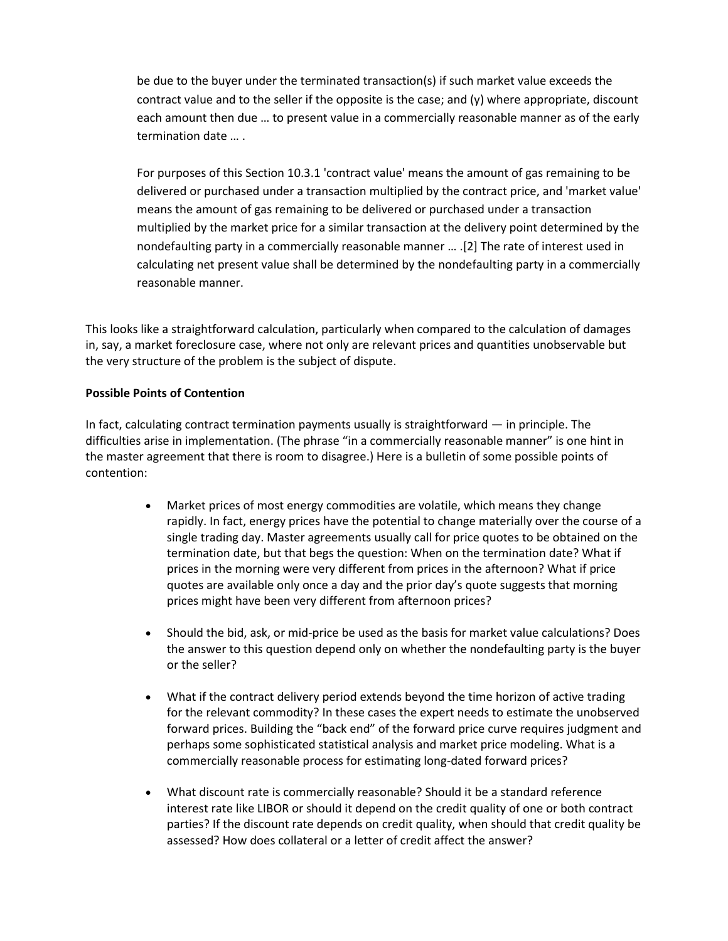be due to the buyer under the terminated transaction(s) if such market value exceeds the contract value and to the seller if the opposite is the case; and (y) where appropriate, discount each amount then due … to present value in a commercially reasonable manner as of the early termination date … .

For purposes of this Section 10.3.1 'contract value' means the amount of gas remaining to be delivered or purchased under a transaction multiplied by the contract price, and 'market value' means the amount of gas remaining to be delivered or purchased under a transaction multiplied by the market price for a similar transaction at the delivery point determined by the nondefaulting party in a commercially reasonable manner … .[2] The rate of interest used in calculating net present value shall be determined by the nondefaulting party in a commercially reasonable manner.

This looks like a straightforward calculation, particularly when compared to the calculation of damages in, say, a market foreclosure case, where not only are relevant prices and quantities unobservable but the very structure of the problem is the subject of dispute.

## **Possible Points of Contention**

In fact, calculating contract termination payments usually is straightforward — in principle. The difficulties arise in implementation. (The phrase "in a commercially reasonable manner" is one hint in the master agreement that there is room to disagree.) Here is a bulletin of some possible points of contention:

- Market prices of most energy commodities are volatile, which means they change rapidly. In fact, energy prices have the potential to change materially over the course of a single trading day. Master agreements usually call for price quotes to be obtained on the termination date, but that begs the question: When on the termination date? What if prices in the morning were very different from prices in the afternoon? What if price quotes are available only once a day and the prior day's quote suggests that morning prices might have been very different from afternoon prices?
- Should the bid, ask, or mid-price be used as the basis for market value calculations? Does the answer to this question depend only on whether the nondefaulting party is the buyer or the seller?
- What if the contract delivery period extends beyond the time horizon of active trading for the relevant commodity? In these cases the expert needs to estimate the unobserved forward prices. Building the "back end" of the forward price curve requires judgment and perhaps some sophisticated statistical analysis and market price modeling. What is a commercially reasonable process for estimating long-dated forward prices?
- What discount rate is commercially reasonable? Should it be a standard reference interest rate like LIBOR or should it depend on the credit quality of one or both contract parties? If the discount rate depends on credit quality, when should that credit quality be assessed? How does collateral or a letter of credit affect the answer?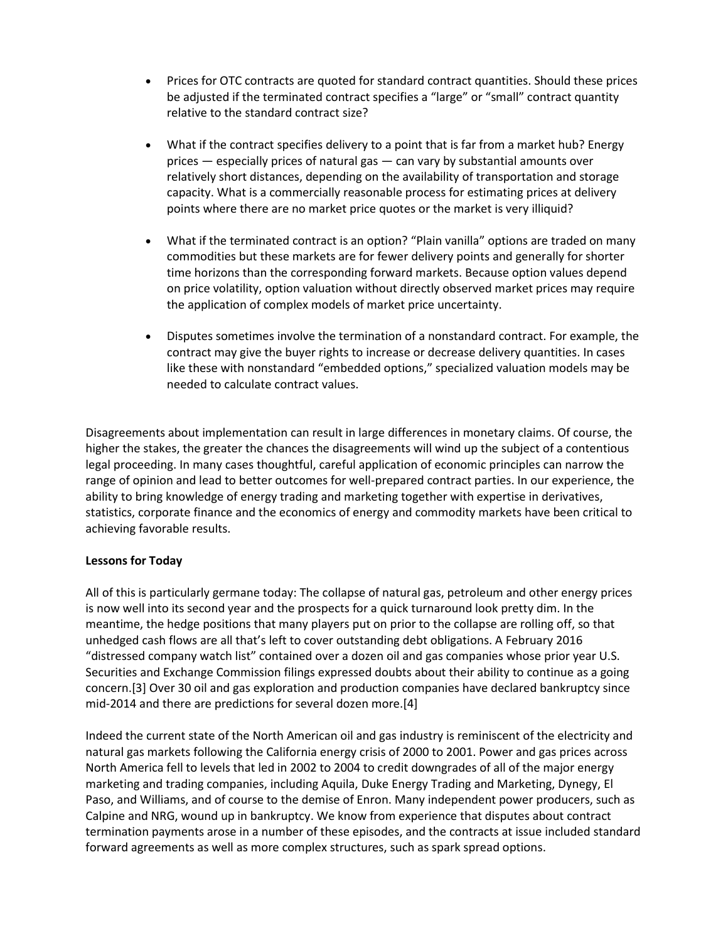- Prices for OTC contracts are quoted for standard contract quantities. Should these prices be adjusted if the terminated contract specifies a "large" or "small" contract quantity relative to the standard contract size?
- What if the contract specifies delivery to a point that is far from a market hub? Energy prices — especially prices of natural gas — can vary by substantial amounts over relatively short distances, depending on the availability of transportation and storage capacity. What is a commercially reasonable process for estimating prices at delivery points where there are no market price quotes or the market is very illiquid?
- What if the terminated contract is an option? "Plain vanilla" options are traded on many commodities but these markets are for fewer delivery points and generally for shorter time horizons than the corresponding forward markets. Because option values depend on price volatility, option valuation without directly observed market prices may require the application of complex models of market price uncertainty.
- Disputes sometimes involve the termination of a nonstandard contract. For example, the contract may give the buyer rights to increase or decrease delivery quantities. In cases like these with nonstandard "embedded options," specialized valuation models may be needed to calculate contract values.

Disagreements about implementation can result in large differences in monetary claims. Of course, the higher the stakes, the greater the chances the disagreements will wind up the subject of a contentious legal proceeding. In many cases thoughtful, careful application of economic principles can narrow the range of opinion and lead to better outcomes for well-prepared contract parties. In our experience, the ability to bring knowledge of energy trading and marketing together with expertise in derivatives, statistics, corporate finance and the economics of energy and commodity markets have been critical to achieving favorable results.

## **Lessons for Today**

All of this is particularly germane today: The collapse of natural gas, petroleum and other energy prices is now well into its second year and the prospects for a quick turnaround look pretty dim. In the meantime, the hedge positions that many players put on prior to the collapse are rolling off, so that unhedged cash flows are all that's left to cover outstanding debt obligations. A February 2016 "distressed company watch list" contained over a dozen oil and gas companies whose prior year U.S. Securities and Exchange Commission filings expressed doubts about their ability to continue as a going concern.[3] Over 30 oil and gas exploration and production companies have declared bankruptcy since mid-2014 and there are predictions for several dozen more.[4]

Indeed the current state of the North American oil and gas industry is reminiscent of the electricity and natural gas markets following the California energy crisis of 2000 to 2001. Power and gas prices across North America fell to levels that led in 2002 to 2004 to credit downgrades of all of the major energy marketing and trading companies, including Aquila, Duke Energy Trading and Marketing, Dynegy, El Paso, and Williams, and of course to the demise of Enron. Many independent power producers, such as Calpine and NRG, wound up in bankruptcy. We know from experience that disputes about contract termination payments arose in a number of these episodes, and the contracts at issue included standard forward agreements as well as more complex structures, such as spark spread options.